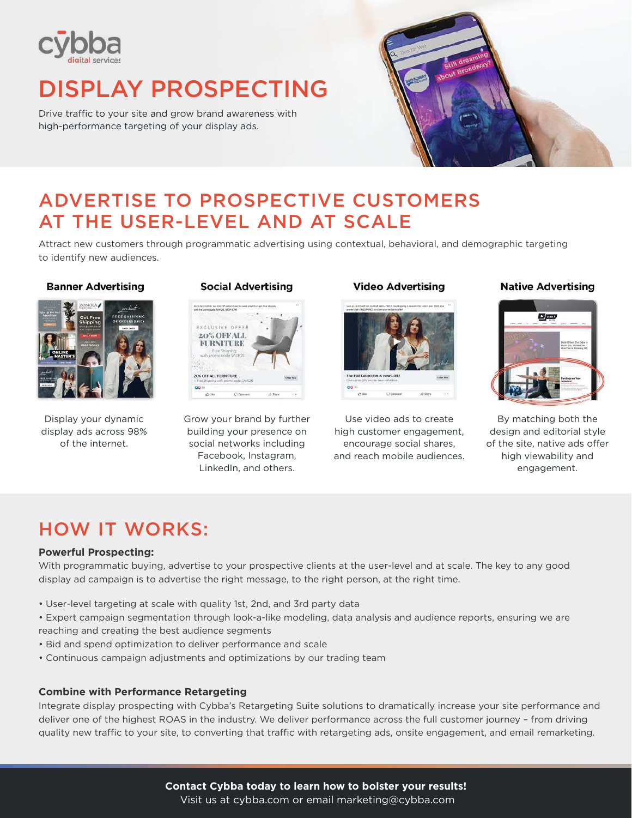

# DISPLAY PROSPECTING

Drive traffic to your site and grow brand awareness with high-performance targeting of your display ads.



# ADVERTISE TO PROSPECTIVE CUSTOMERS AT THE USER-LEVEL AND AT SCALE

Attract new customers through programmatic advertising using contextual, behavioral, and demographic targeting to identify new audiences.

### **Banner Advertising**



Display your dynamic display ads across 98% of the internet.

## **Social Advertising**



Grow your brand by further building your presence on social networks including Facebook, Instagram, LinkedIn, and others.

# **Video Advertising**



Use video ads to create high customer engagement, encourage social shares, and reach mobile audiences.

## **Native Advertising**



By matching both the design and editorial style of the site, native ads offer high viewability and engagement.

# HOW IT WORKS:

# **Powerful Prospecting:**

With programmatic buying, advertise to your prospective clients at the user-level and at scale. The key to any good display ad campaign is to advertise the right message, to the right person, at the right time.

- User-level targeting at scale with quality 1st, 2nd, and 3rd party data
- Expert campaign segmentation through look-a-like modeling, data analysis and audience reports, ensuring we are reaching and creating the best audience segments
- Bid and spend optimization to deliver performance and scale
- Continuous campaign adjustments and optimizations by our trading team

## **Combine with Performance Retargeting**

Integrate display prospecting with Cybba's Retargeting Suite solutions to dramatically increase your site performance and deliver one of the highest ROAS in the industry. We deliver performance across the full customer journey – from driving quality new traffic to your site, to converting that traffic with retargeting ads, onsite engagement, and email remarketing.